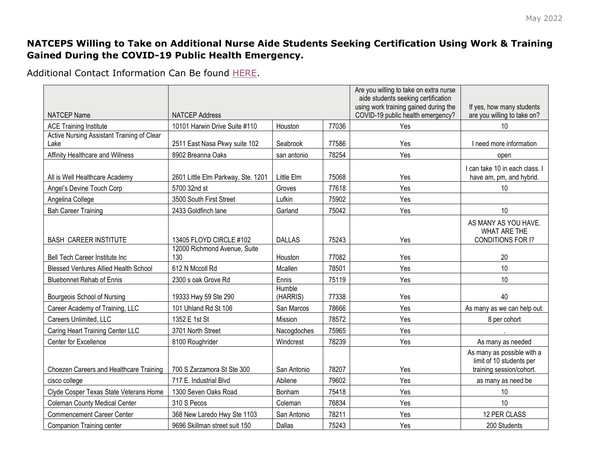## **NATCEPS Willing to Take on Additional Nurse Aide Students Seeking Certification Using Work & Training Gained During the COVID-19 Public Health Emergency.**

Additional Contact Information Can Be found [HERE.](https://apps.hhs.texas.gov/providers/nf/credentialing/natcep/credtraining.cfm)

|                                                    |                                     |                    |       | Are you willing to take on extra nurse<br>aide students seeking certification |                                                                                    |
|----------------------------------------------------|-------------------------------------|--------------------|-------|-------------------------------------------------------------------------------|------------------------------------------------------------------------------------|
| <b>NATCEP Name</b>                                 | <b>NATCEP Address</b>               |                    |       | using work training gained during the<br>COVID-19 public health emergency?    | If yes, how many students<br>are you willing to take on?                           |
| <b>ACE Training Institute</b>                      | 10101 Harwin Drive Suite #110       | Houston            | 77036 | Yes                                                                           | 10                                                                                 |
| Active Nursing Assistant Training of Clear<br>Lake | 2511 East Nasa Pkwy suite 102       | Seabrook           | 77586 | Yes                                                                           | I need more information                                                            |
| Affinity Healthcare and Willness                   | 8902 Breanna Oaks                   | san antonio        | 78254 | Yes                                                                           | open                                                                               |
| All is Well Healthcare Academy                     | 2601 Little Elm Parkway, Ste. 1201  | Little Elm         | 75068 | Yes                                                                           | I can take 10 in each class. I<br>have am, pm, and hybrid.                         |
| Angel's Devine Touch Corp                          | 5700 32nd st                        | Groves             | 77618 | Yes                                                                           | 10                                                                                 |
| Angelina College                                   | 3500 South First Street             | Lufkin             | 75902 | Yes                                                                           |                                                                                    |
| <b>Bah Career Training</b>                         | 2433 Goldfinch lane                 | Garland            | 75042 | Yes                                                                           | 10                                                                                 |
| <b>BASH CAREER INSTITUTE</b>                       | 13405 FLOYD CIRCLE #102             | <b>DALLAS</b>      | 75243 | Yes                                                                           | AS MANY AS YOU HAVE.<br><b>WHAT ARE THE</b><br>CONDITIONS FOR I?                   |
| Bell Tech Career Institute Inc                     | 12000 Richmond Avenue, Suite<br>130 | Houston            | 77082 | Yes                                                                           | 20                                                                                 |
| <b>Blessed Ventures Allied Health School</b>       | 612 N Mccoll Rd                     | Mcallen            | 78501 | Yes                                                                           | 10                                                                                 |
| <b>Bluebonnet Rehab of Ennis</b>                   | 2300 s oak Grove Rd                 | Ennis              | 75119 | Yes                                                                           | 10                                                                                 |
| Bourgeois School of Nursing                        | 19333 Hwy 59 Ste 290                | Humble<br>(HARRIS) | 77338 | Yes                                                                           | 40                                                                                 |
| Career Academy of Training, LLC                    | 101 Uhland Rd St 106                | San Marcos         | 78666 | Yes                                                                           | As many as we can help out.                                                        |
| Careers Unlimited, LLC                             | 1352 E 1st St                       | Mission            | 78572 | Yes                                                                           | 8 per cohort                                                                       |
| Caring Heart Training Center LLC                   | 3701 North Street                   | Nacogdoches        | 75965 | Yes                                                                           |                                                                                    |
| Center for Excellence                              | 8100 Roughrider                     | Windcrest          | 78239 | Yes                                                                           | As many as needed                                                                  |
| Choezen Careers and Healthcare Training            | 700 S Zarzamora St Ste 300          | San Antonio        | 78207 | Yes                                                                           | As many as possible with a<br>limit of 10 students per<br>training session/cohort. |
| cisco college                                      | 717 E. Industrial Blvd              | Abilene            | 79602 | Yes                                                                           | as many as need be                                                                 |
| Clyde Cosper Texas State Veterans Home             | 1300 Seven Oaks Road                | Bonham             | 75418 | Yes                                                                           | 10                                                                                 |
| <b>Coleman County Medical Center</b>               | 310 S Pecos                         | Coleman            | 76834 | Yes                                                                           | 10                                                                                 |
| <b>Commencement Career Center</b>                  | 368 New Laredo Hwy Ste 1103         | San Antonio        | 78211 | Yes                                                                           | 12 PER CLASS                                                                       |
| Companion Training center                          | 9696 Skillman street suit 150       | Dallas             | 75243 | Yes                                                                           | 200 Students                                                                       |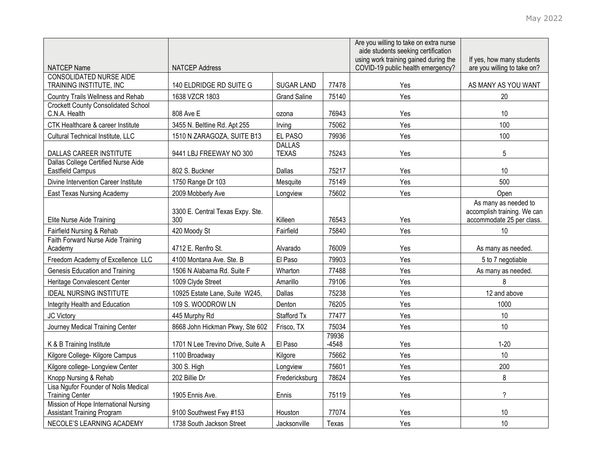|                                                                            |                                         |                               |                  | Are you willing to take on extra nurse<br>aide students seeking certification<br>using work training gained during the | If yes, how many students                                                        |
|----------------------------------------------------------------------------|-----------------------------------------|-------------------------------|------------------|------------------------------------------------------------------------------------------------------------------------|----------------------------------------------------------------------------------|
| <b>NATCEP Name</b>                                                         | <b>NATCEP Address</b>                   |                               |                  | COVID-19 public health emergency?                                                                                      | are you willing to take on?                                                      |
| <b>CONSOLIDATED NURSE AIDE</b><br>TRAINING INSTITUTE, INC                  | 140 ELDRIDGE RD SUITE G                 | <b>SUGAR LAND</b>             | 77478            | Yes                                                                                                                    | AS MANY AS YOU WANT                                                              |
| Country Trails Wellness and Rehab                                          | 1638 VZCR 1803                          | <b>Grand Saline</b>           | 75140            | Yes                                                                                                                    | 20                                                                               |
| <b>Crockett County Consolidated School</b><br>C.N.A. Health                | 808 Ave E                               | ozona                         | 76943            | Yes                                                                                                                    | 10                                                                               |
| CTK Healthcare & career Institute                                          | 3455 N. Beltline Rd. Apt 255            | Irving                        | 75062            | Yes                                                                                                                    | 100                                                                              |
| Cultural Technical Institute, LLC                                          | 1510 N ZARAGOZA, SUITE B13              | EL PASO                       | 79936            | Yes                                                                                                                    | 100                                                                              |
| DALLAS CAREER INSTITUTE                                                    | 9441 LBJ FREEWAY NO 300                 | <b>DALLAS</b><br><b>TEXAS</b> | 75243            | Yes                                                                                                                    | 5                                                                                |
| Dallas College Certified Nurse Aide                                        |                                         |                               |                  |                                                                                                                        |                                                                                  |
| Eastfield Campus                                                           | 802 S. Buckner                          | Dallas                        | 75217            | Yes                                                                                                                    | 10                                                                               |
| Divine Intervention Career Institute                                       | 1750 Range Dr 103                       | Mesquite                      | 75149            | Yes                                                                                                                    | 500                                                                              |
| East Texas Nursing Academy                                                 | 2009 Mobberly Ave                       | Longview                      | 75602            | Yes                                                                                                                    | Open                                                                             |
| Elite Nurse Aide Training                                                  | 3300 E. Central Texas Expy. Ste.<br>300 | Killeen                       | 76543            | Yes                                                                                                                    | As many as needed to<br>accomplish training. We can<br>accommodate 25 per class. |
| Fairfield Nursing & Rehab                                                  | 420 Moody St                            | Fairfield                     | 75840            | Yes                                                                                                                    | 10                                                                               |
| Faith Forward Nurse Aide Training<br>Academy                               | 4712 E. Renfro St.                      | Alvarado                      | 76009            | Yes                                                                                                                    | As many as needed.                                                               |
| Freedom Academy of Excellence LLC                                          | 4100 Montana Ave. Ste. B                | El Paso                       | 79903            | Yes                                                                                                                    | 5 to 7 negotiable                                                                |
| Genesis Education and Training                                             | 1506 N Alabama Rd. Suite F              | Wharton                       | 77488            | Yes                                                                                                                    | As many as needed.                                                               |
| Heritage Convalescent Center                                               | 1009 Clyde Street                       | Amarillo                      | 79106            | Yes                                                                                                                    | 8                                                                                |
| <b>IDEAL NURSING INSTITUTE</b>                                             | 10925 Estate Lane, Suite W245,          | Dallas                        | 75238            | Yes                                                                                                                    | 12 and above                                                                     |
| Integrity Health and Education                                             | 109 S. WOODROW LN                       | Denton                        | 76205            | Yes                                                                                                                    | 1000                                                                             |
| JC Victory                                                                 | 445 Murphy Rd                           | Stafford Tx                   | 77477            | Yes                                                                                                                    | $10$                                                                             |
| Journey Medical Training Center                                            | 8668 John Hickman Pkwy, Ste 602         | Frisco, TX                    | 75034            | Yes                                                                                                                    | 10                                                                               |
| K & B Training Institute                                                   | 1701 N Lee Trevino Drive, Suite A       | El Paso                       | 79936<br>$-4548$ | Yes                                                                                                                    | $1 - 20$                                                                         |
| Kilgore College- Kilgore Campus                                            | 1100 Broadway                           | Kilgore                       | 75662            | Yes                                                                                                                    | 10                                                                               |
| Kilgore college- Longview Center                                           | 300 S. High                             | Longview                      | 75601            | Yes                                                                                                                    | 200                                                                              |
| Knopp Nursing & Rehab                                                      | 202 Billie Dr                           | Fredericksburg                | 78624            | Yes                                                                                                                    | 8                                                                                |
| Lisa Ngufor Founder of Nolis Medical<br><b>Training Center</b>             | 1905 Ennis Ave.                         | Ennis                         | 75119            | Yes                                                                                                                    | $\overline{\phantom{0}}$                                                         |
| Mission of Hope International Nursing<br><b>Assistant Training Program</b> | 9100 Southwest Fwy #153                 | Houston                       | 77074            | Yes                                                                                                                    | 10                                                                               |
| NECOLE'S LEARNING ACADEMY                                                  | 1738 South Jackson Street               | Jacksonville                  | Texas            | Yes                                                                                                                    | 10                                                                               |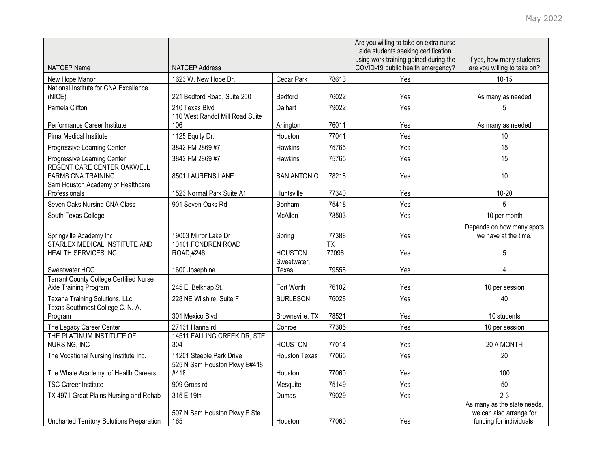|                                                         |                                        |                    |                          | Are you willing to take on extra nurse<br>aide students seeking certification |                                                          |
|---------------------------------------------------------|----------------------------------------|--------------------|--------------------------|-------------------------------------------------------------------------------|----------------------------------------------------------|
| <b>NATCEP Name</b>                                      | <b>NATCEP Address</b>                  |                    |                          | using work training gained during the<br>COVID-19 public health emergency?    | If yes, how many students<br>are you willing to take on? |
| New Hope Manor                                          | 1623 W. New Hope Dr.                   | Cedar Park         | 78613                    | Yes                                                                           | $10 - 15$                                                |
| National Institute for CNA Excellence                   |                                        |                    |                          |                                                                               |                                                          |
| (NICE)                                                  | 221 Bedford Road, Suite 200            | Bedford            | 76022                    | Yes                                                                           | As many as needed                                        |
| Pamela Clifton                                          | 210 Texas Blvd                         | Dalhart            | 79022                    | Yes                                                                           | 5                                                        |
| Performance Career Institute                            | 110 West Randol Mill Road Suite<br>106 | Arlington          | 76011                    | Yes                                                                           | As many as needed                                        |
| Pima Medical Institute                                  | 1125 Equity Dr.                        | Houston            | 77041                    | Yes                                                                           | 10                                                       |
| Progressive Learning Center                             | 3842 FM 2869 #7                        | Hawkins            | 75765                    | Yes                                                                           | 15                                                       |
| Progressive Learning Center                             | 3842 FM 2869 #7                        | Hawkins            | 75765                    | Yes                                                                           | 15                                                       |
| REGENT CARE CENTER OAKWELL<br><b>FARMS CNA TRAINING</b> | 8501 LAURENS LANE                      | <b>SAN ANTONIO</b> | 78218                    | Yes                                                                           | 10                                                       |
| Sam Houston Academy of Healthcare                       |                                        |                    |                          |                                                                               |                                                          |
| Professionals                                           | 1523 Normal Park Suite A1              | Huntsville         | 77340                    | Yes                                                                           | $10 - 20$                                                |
| Seven Oaks Nursing CNA Class                            | 901 Seven Oaks Rd                      | Bonham             | 75418                    | Yes                                                                           | 5                                                        |
| South Texas College                                     |                                        | McAllen            | 78503                    | Yes                                                                           | 10 per month                                             |
|                                                         |                                        |                    |                          |                                                                               | Depends on how many spots                                |
| Springville Academy Inc                                 | 19003 Mirror Lake Dr                   | Spring             | 77388                    | Yes                                                                           | we have at the time.                                     |
| STARLEX MEDICAL INSTITUTE AND<br>HEALTH SERVICES INC    | 10101 FONDREN ROAD<br>ROAD,#246        | <b>HOUSTON</b>     | $\overline{TX}$<br>77096 | Yes                                                                           | 5                                                        |
|                                                         |                                        | Sweetwater,        |                          |                                                                               |                                                          |
| Sweetwater HCC                                          | 1600 Josephine                         | Texas              | 79556                    | Yes                                                                           | $\overline{4}$                                           |
| <b>Tarrant County College Certified Nurse</b>           |                                        |                    |                          |                                                                               |                                                          |
| Aide Training Program                                   | 245 E. Belknap St.                     | Fort Worth         | 76102                    | Yes                                                                           | 10 per session                                           |
| Texana Training Solutions, LLc                          | 228 NE Wilshire, Suite F               | <b>BURLESON</b>    | 76028                    | Yes                                                                           | 40                                                       |
| Texas Southmost College C. N. A.<br>Program             | 301 Mexico Blvd                        | Brownsville, TX    | 78521                    | Yes                                                                           | 10 students                                              |
| The Legacy Career Center                                | 27131 Hanna rd                         | Conroe             | 77385                    | Yes                                                                           | 10 per session                                           |
| THE PLATINUM INSTITUTE OF                               | 14511 FALLING CREEK DR, STE            |                    |                          |                                                                               |                                                          |
| NURSING, INC                                            | 304                                    | <b>HOUSTON</b>     | 77014                    | Yes                                                                           | 20 A MONTH                                               |
| The Vocational Nursing Institute Inc.                   | 11201 Steeple Park Drive               | Houston Texas      | 77065                    | Yes                                                                           | 20                                                       |
|                                                         | 525 N Sam Houston Pkwy E#418,          |                    |                          |                                                                               |                                                          |
| The Whale Academy of Health Careers                     | #418                                   | Houston            | 77060                    | Yes                                                                           | 100                                                      |
| <b>TSC Career Institute</b>                             | 909 Gross rd                           | Mesquite           | 75149                    | Yes                                                                           | 50                                                       |
| TX 4971 Great Plains Nursing and Rehab                  | 315 E.19th                             | Dumas              | 79029                    | Yes                                                                           | $2 - 3$                                                  |
|                                                         | 507 N Sam Houston Pkwy E Ste           |                    |                          |                                                                               | As many as the state needs,<br>we can also arrange for   |
| <b>Uncharted Territory Solutions Preparation</b>        | 165                                    | Houston            | 77060                    | Yes                                                                           | funding for individuals.                                 |